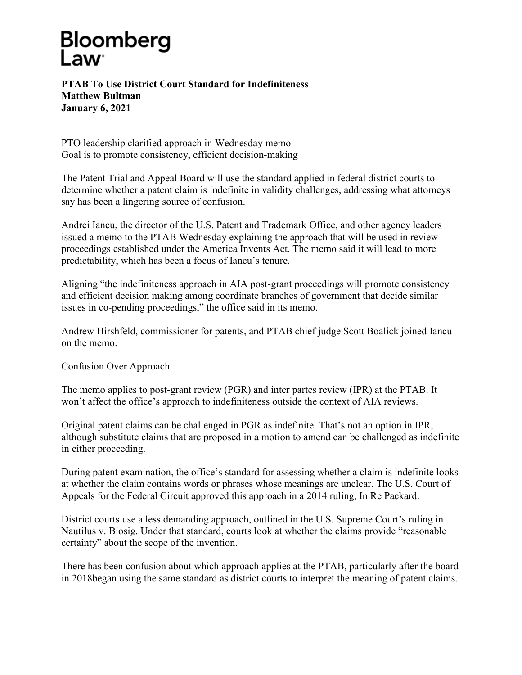## Bloomberg

**PTAB To Use District Court Standard for Indefiniteness Matthew Bultman January 6, 2021**

PTO leadership clarified approach in Wednesday memo Goal is to promote consistency, efficient decision-making

The Patent Trial and Appeal Board will use the standard applied in federal district courts to determine whether a patent claim is indefinite in validity challenges, addressing what attorneys say has been a lingering source of confusion.

Andrei Iancu, the director of the U.S. Patent and Trademark Office, and other agency leaders issued a memo to the PTAB Wednesday explaining the approach that will be used in review proceedings established under the America Invents Act. The memo said it will lead to more predictability, which has been a focus of Iancu's tenure.

Aligning "the indefiniteness approach in AIA post-grant proceedings will promote consistency and efficient decision making among coordinate branches of government that decide similar issues in co-pending proceedings," the office said in its memo.

Andrew Hirshfeld, commissioner for patents, and PTAB chief judge Scott Boalick joined Iancu on the memo.

Confusion Over Approach

The memo applies to post-grant review (PGR) and inter partes review (IPR) at the PTAB. It won't affect the office's approach to indefiniteness outside the context of AIA reviews.

Original patent claims can be challenged in PGR as indefinite. That's not an option in IPR, although substitute claims that are proposed in a motion to amend can be challenged as indefinite in either proceeding.

During patent examination, the office's standard for assessing whether a claim is indefinite looks at whether the claim contains words or phrases whose meanings are unclear. The U.S. Court of Appeals for the Federal Circuit approved this approach in a 2014 ruling, In Re Packard.

District courts use a less demanding approach, outlined in the U.S. Supreme Court's ruling in Nautilus v. Biosig. Under that standard, courts look at whether the claims provide "reasonable certainty" about the scope of the invention.

There has been confusion about which approach applies at the PTAB, particularly after the board in 2018began using the same standard as district courts to interpret the meaning of patent claims.